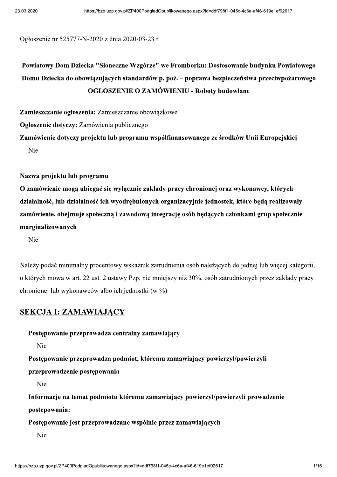Ogłoszenie nr 525777-N-2020 z dnia 2020-03-23 r.

Powiatowy Dom Dziecka "Słoneczne Wzgórze" we Fromborku: Dostosowanie budynku Powiatowego Domu Dziecka do obowiazujących standardów p. poż. – poprawa bezpieczeństwa przeciwpożarowego **OGŁOSZENIE O ZAMÓWIENIU - Roboty budowlane** 

Zamieszczanie ogłoszenia: Zamieszczanie obowiązkowe

Ogłoszenie dotyczy: Zamówienia publicznego

Zamówienie dotyczy projektu lub programu współfinansowanego ze środków Unii Europejskiej Nie

Nazwa projektu lub programu

O zamówienie mogą ubiegać się wyłącznie zakłady pracy chronionej oraz wykonawcy, których działalność, lub działalność ich wyodrębnionych organizacyjnie jednostek, które będą realizowały zamówienie, obejmuje społeczna i zawodowa integracje osób bedacych członkami grup społecznie marginalizowanych

Nie

Należy podać minimalny procentowy wskaźnik zatrudnienia osób należacych do jednej lub wiecej kategorii. o których mowa w art. 22 ust. 2 ustawy Pzp, nie mniejszy niż 30%, osób zatrudnionych przez zakłady pracy chronionej lub wykonawców albo ich jednostki (w %)

#### **SEKCJA I: ZAMAWIAJĄCY**

Postępowanie przeprowadza centralny zamawiający

Nie

Postępowanie przeprowadza podmiot, któremu zamawiający powierzył/powierzyli

przeprowadzenie postępowania

Nie

Informacje na temat podmiotu któremu zamawiający powierzył/powierzyli prowadzenie postępowania:

Postępowanie jest przeprowadzane wspólnie przez zamawiających

Nie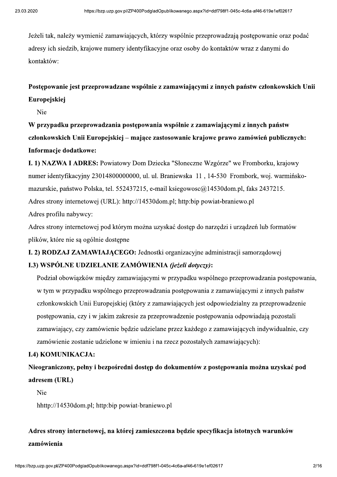aspx?id=ddf798f1-045c-4c6a-af46-619e1ef02617<br>! przeprowadzają postępowanie oraz podać<br>by do kontaktów wraz z danymi do Jeżeli tak, należy wymienić zamawiających, którzy wspólnie przeprowadzają postępowanie oraz podać adresy ich siedzib, krajowe numery identyfikacyjne oraz osoby do kontaktów wraz z danymi do kontaktów:

## Postępowanie jest przeprowadzane wspólnie z zamawiającymi z innych państw członkowskich Unii Europejskiej

Nie

W przypadku przeprowadzania postępowania wspólnie z zamawiającymi z innych państw członkowskich Unii Europejskiej – mające zastosowanie krajowe prawo zamówień publicznych: Informacje dodatkowe:

I. 1) NAZWA I ADRES: Powiatowy Dom Dziecka "Słoneczne Wzgórze" we Fromborku, krajowy numer identyfikacyjny 23014800000000, ul. ul. Braniewska 11, 14-530 Frombork, woj. warmińskomazurskie, państwo Polska, tel. 552437215, e-mail ksiegowosc $@14530$ dom.pl, faks 2437215. Adres strony internetowej (URL): http://14530dom.pl; http:bip powiat-braniewo.pl Adres profilu nabywcy:

Adres strony internetowej pod którym można uzyskać dostep do narzedzi i urzadzeń lub formatów plików, które nie są ogólnie dostępne

I. 2) RODZAJ ZAMAWIAJĄCEGO: Jednostki organizacyjne administracji samorządowej

#### I.3) WSPÓLNE UDZIELANIE ZAMÓWIENIA (jeżeli dotyczy):

Podział obowiązków między zamawiającymi w przypadku wspólnego przeprowadzania postępowania, w tym w przypadku wspólnego przeprowadzania postępowania z zamawiającymi z innych państw członkowskich Unii Europejskiej (który z zamawiających jest odpowiedzialny za przeprowadzenie postępowania, czy i w jakim zakresie za przeprowadzenie postępowania odpowiadają pozostali zamawiający, czy zamówienie będzie udzielane przez każdego z zamawiających indywidualnie, czy zamówienie zostanie udzielone w imieniu i na rzecz pozostałych zamawiających):

#### I.4) KOMUNIKACJA:

Nieograniczony, pełny i bezpośredni dostęp do dokumentów z postępowania można uzyskać pod adresem (URL)

Nie

hhttp://14530dom.pl; http:bip powiat-braniewo.pl

# órej zamieszczona będzie specyfikacja istotnych warunków<br>aspx?id=ddf798f1-045c-4c6a-af46-619e1ef02617<br>2/16 Adres strony internetowej, na której zamieszczona będzie specyfikacja istotnych warunków zamówienia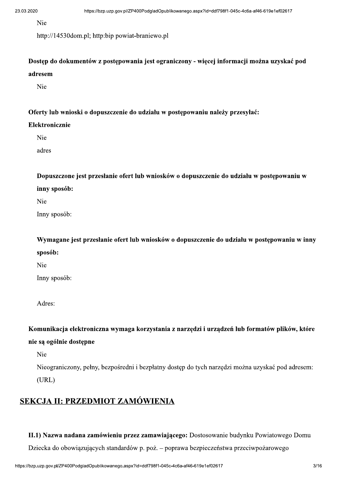Nie

http://14530dom.pl; http:bip powiat-braniewo.pl

Dostęp do dokumentów z postępowania jest ograniczony - więcej informacji można uzyskać pod adresem

Nie

Oferty lub wnioski o dopuszczenie do udziału w postępowaniu należy przesyłać:

#### Elektronicznie

Nie

adres

Dopuszczone jest przesłanie ofert lub wniosków o dopuszczenie do udziału w postępowaniu w inny sposób:

Nie

Inny sposób:

Wymagane jest przesłanie ofert lub wniosków o dopuszczenie do udziału w postępowaniu w inny sposób:

Nie

Inny sposób:

Adres:

Komunikacja elektroniczna wymaga korzystania z narzędzi i urządzeń lub formatów plików, które nie są ogólnie dostępne

Nie

Nieograniczony, pełny, bezpośredni i bezpłatny dostęp do tych narzędzi można uzyskać pod adresem:  $(URL)$ 

## SEKCJA II: PRZEDMIOT ZAMÓWIENIA

II.1) Nazwa nadana zamówieniu przez zamawiającego: Dostosowanie budynku Powiatowego Domu Dziecka do obowiązujących standardów p. poż. – poprawa bezpieczeństwa przeciwpożarowego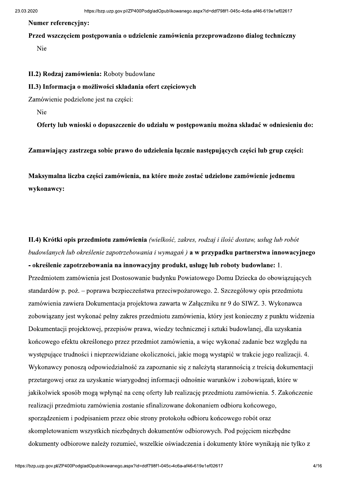#### **Numer referencyiny:**

Przed wszczęciem postępowania o udzielenie zamówienia przeprowadzono dialog techniczny Nie

II.2) Rodzaj zamówienia: Roboty budowlane

#### II.3) Informacja o możliwości składania ofert częściowych

Zamówienie podzielone jest na części:

Nie

Oferty lub wnioski o dopuszczenie do udziału w postępowaniu można składać w odniesieniu do:

Zamawiający zastrzega sobie prawo do udzielenia łącznie następujących części lub grup części:

Maksymalna liczba części zamówienia, na które może zostać udzielone zamówienie jednemu wykonawcy:

II.4) Krótki opis przedmiotu zamówienia (wielkość, zakres, rodzaj i ilość dostaw, usług lub robót budowlanych lub określenie zapotrzebowania i wymagań) **a w przypadku partnerstwa innowacyjnego** - określenie zapotrzebowania na innowacyjny produkt, usługe lub roboty budowlane: 1. Przedmiotem zamówienia jest Dostosowanie budynku Powiatowego Domu Dziecka do obowiazujących standardów p. poż. – poprawa bezpieczeństwa przeciwpożarowego. 2. Szczegółowy opis przedmiotu zamówienia zawiera Dokumentacja projektowa zawarta w Załączniku nr 9 do SIWZ. 3. Wykonawca zobowiązany jest wykonać pełny zakres przedmiotu zamówienia, który jest konieczny z punktu widzenia Dokumentacji projektowej, przepisów prawa, wiedzy technicznej i sztuki budowlanej, dla uzyskania końcowego efektu określonego przez przedmiot zamówienia, a więc wykonać zadanie bez względu na występujące trudności i nieprzewidziane okoliczności, jakie mogą wystąpić w trakcie jego realizacji. 4. Wykonawcy ponoszą odpowiedzialność za zapoznanie się z należytą starannością z treścią dokumentacji przetargowej oraz za uzyskanie wiarygodnej informacji odnośnie warunków i zobowiązań, które w jakikolwiek sposób mogą wpłynąć na cenę oferty lub realizację przedmiotu zamówienia. 5. Zakończenie realizacji przedmiotu zamówienia zostanie sfinalizowane dokonaniem odbioru końcowego, sporządzeniem i podpisaniem przez obie strony protokołu odbioru końcowego robót oraz skompletowaniem wszystkich niezbednych dokumentów odbiorowych. Pod pojeciem niezbedne dokumenty odbiorowe należy rozumieć, wszelkie oświadczenia i dokumenty które wynikają nie tylko z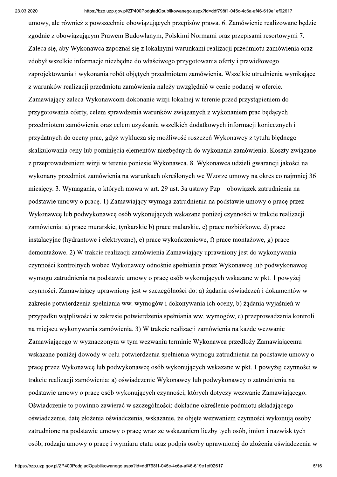umowy, ale również z powszechnie obowiazujących przepisów prawa. 6. Zamówienie realizowane bedzie zgodnie z obowiazującym Prawem Budowlanym, Polskimi Normami oraz przepisami resortowymi 7. Zaleca się, aby Wykonawca zapoznał się z lokalnymi warunkami realizacji przedmiotu zamówienia oraz zdobył wszelkie informacje niezbędne do właściwego przygotowania oferty i prawidłowego zaprojektowania i wykonania robót objętych przedmiotem zamówienia. Wszelkie utrudnienia wynikające z warunków realizacji przedmiotu zamówienia należy uwzględnić w cenie podanej w ofercie. Zamawiający zaleca Wykonawcom dokonanie wizji lokalnej w terenie przed przystąpieniem do przygotowania oferty, celem sprawdzenia warunków związanych z wykonaniem prac będących przedmiotem zamówienia oraz celem uzyskania wszelkich dodatkowych informacji koniecznych i przydatnych do oceny prac, gdyż wyklucza się możliwość roszczeń Wykonawcy z tytułu błędnego skalkulowania ceny lub pominięcia elementów niezbędnych do wykonania zamówienia. Koszty związane z przeprowadzeniem wizji w terenie poniesie Wykonawca. 8. Wykonawca udzieli gwarancji jakości na wykonany przedmiot zamówienia na warunkach określonych we Wzorze umowy na okres co najmniej 36 miesięcy. 3. Wymagania, o których mowa w art. 29 ust. 3a ustawy Pzp – obowiązek zatrudnienia na podstawie umowy o pracę. 1) Zamawiający wymaga zatrudnienia na podstawie umowy o pracę przez Wykonawce lub podwykonawce osób wykonujących wskazane poniżej czynności w trakcie realizacji zamówienia: a) prace murarskie, tynkarskie b) prace malarskie, c) prace rozbiórkowe, d) prace instalacyjne (hydrantowe i elektryczne), e) prace wykończeniowe, f) prace montażowe, g) prace demontażowe. 2) W trakcie realizacji zamówienia Zamawiający uprawniony jest do wykonywania czynności kontrolnych wobec Wykonawcy odnośnie spełniania przez Wykonawcę lub podwykonawcę wymogu zatrudnienia na podstawie umowy o pracę osób wykonujących wskazane w pkt. 1 powyżej czynności. Zamawiający uprawniony jest w szczególności do: a) żądania oświadczeń i dokumentów w zakresie potwierdzenia spełniania ww. wymogów i dokonywania ich oceny, b) żądania wyjaśnień w przypadku wątpliwości w zakresie potwierdzenia spełniania ww. wymogów, c) przeprowadzania kontroli na miejscu wykonywania zamówienia. 3) W trakcie realizacji zamówienia na każde wezwanie Zamawiającego w wyznaczonym w tym wezwaniu terminie Wykonawca przedłoży Zamawiającemu wskazane poniżej dowody w celu potwierdzenia spełnienia wymogu zatrudnienia na podstawie umowy o prace przez Wykonawcę lub podwykonawcę osób wykonujących wskazane w pkt. 1 powyżej czynności w trakcie realizacji zamówienia: a) oświadczenie Wykonawcy lub podwykonawcy o zatrudnieniu na podstawie umowy o prace osób wykonujących czynności, których dotyczy wezwanie Zamawiającego. Oświadczenie to powinno zawierać w szczególności: dokładne określenie podmiotu składającego oświadczenie, datę złożenia oświadczenia, wskazanie, że objęte wezwaniem czynności wykonują osoby zatrudnione na podstawie umowy o prace wraz ze wskazaniem liczby tych osób, imion i nazwisk tych osób, rodzaju umowy o pracę i wymiaru etatu oraz podpis osoby uprawnionej do złożenia oświadczenia w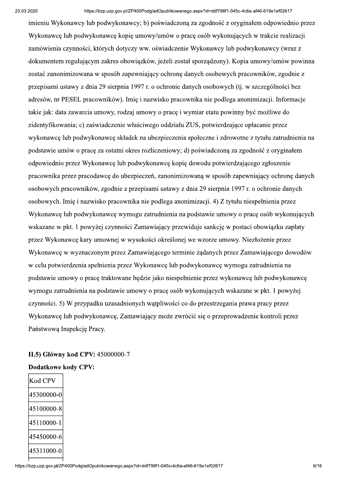aspx?id=ddf798f1-045c-4c6a-af46-619e1ef02617<br>za zgodność z oryginałem odpowiednio przez<br>ę osób wykonujących w trakcie realizacji<br>Wykonawcy lub podwykonawcy (wraz z imieniu Wykonawcy lub podwykonawcy; b) poświadczoną za zgodność z oryginałem odpowiednio przez Wykonawce lub podwykonawce kopie umowy/umów o prace osób wykonujących w trakcie realizacji zamówienia czynności, których dotyczy ww. oświadczenie Wykonawcy lub podwykonawcy (wraz z dokumentem regulującym zakres obowiązków, jeżeli został sporządzony). Kopia umowy/umów powinna zostać zanonimizowana w sposób zapewniający ochronę danych osobowych pracowników, zgodnie z przepisami ustawy z dnia 29 sierpnia 1997 r. o ochronie danych osobowych (tj. w szczególności bez adresów, nr PESEL pracowników). Imię i nazwisko pracownika nie podlega anonimizacji. Informacje takie jak: data zawarcia umowy, rodzaj umowy o pracę i wymiar etatu powinny być możliwe do zidentyfikowania; c) zaświadczenie właściwego oddziału ZUS, potwierdzające opłacanie przez wykonawcę lub podwykonawcę składek na ubezpieczenia społeczne i zdrowotne z tytułu zatrudnienia na podstawie umów o pracę za ostatni okres rozliczeniowy; d) poświadczoną za zgodność z oryginałem odpowiednio przez Wykonawcę lub podwykonawcę kopię dowodu potwierdzającego zgłoszenie pracownika przez pracodawcę do ubezpieczeń, zanonimizowaną w sposób zapewniający ochronę danych osobowych pracowników, zgodnie z przepisami ustawy z dnia 29 sierpnia 1997 r. o ochronie danych osobowych. Imię i nazwisko pracownika nie podlega anonimizacji. 4) Z tytułu niespełnienia przez Wykonawce lub podwykonawce wymogu zatrudnienia na podstawie umowy o prace osób wykonujących wskazane w pkt. 1 powyżej czynności Zamawiający przewiduje sankcje w postaci obowiązku zapłaty przez Wykonawcę kary umownej w wysokości określonej we wzorze umowy. Niezłożenie przez Wykonawce w wyznaczonym przez Zamawiającego terminie żadanych przez Zamawiającego dowodów w celu potwierdzenia spełnienia przez Wykonawce lub podwykonawce wymogu zatrudnienia na podstawie umowy o prace traktowane bedzie jako niespełnienie przez wykonawce lub podwykonawce wymogu zatrudnienia na podstawie umowy o pracę osób wykonujących wskazane w pkt. 1 powyżej ezynności. 5) W przypadku uzasadnionych wątpliwości co do przestrzegania prawa pracy przez Wykonawcę lub podwykonawcę, Zamawiający może zwrócić się o przeprowadzenie kontroli przez Państwowa Inspekcję Pracy.

#### $II.5$ ) Główny kod CPV: 45000000-7

# Kod CPV 45300000-0 45100000-8 45110000-1 45450000-6 45311000-0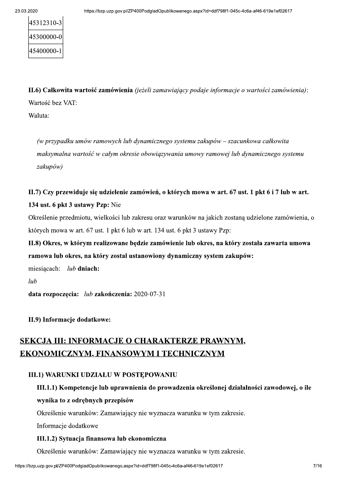| 45312310-3 |  |
|------------|--|
| 45300000-0 |  |
| 45400000-1 |  |

II.6) Całkowita wartość zamówienia (jeżeli zamawiający podaje informacje o wartości zamówienia): Wartość bez VAT:

Waluta:

(w przypadku umów ramowych lub dynamicznego systemu zakupów – szacunkowa całkowita maksymalna wartość w całym okresie obowiazywania umowy ramowej lub dynamicznego systemu zakupów)

## II.7) Czy przewiduje się udzielenie zamówień, o których mowa w art. 67 ust. 1 pkt 6 i 7 lub w art. 134 ust. 6 pkt 3 ustawy Pzp: Nie

Określenie przedmiotu, wielkości lub zakresu oraz warunków na jakich zostaną udzielone zamówienia, o których mowa w art. 67 ust. 1 pkt 6 lub w art. 134 ust. 6 pkt 3 ustawy Pzp:

## II.8) Okres, w którym realizowane będzie zamówienie lub okres, na który została zawarta umowa ramowa lub okres, na który został ustanowiony dynamiczny system zakupów:

 $lub$  dniach: miesiącach:

lub

data rozpoczęcia: lub zakończenia: 2020-07-31

II.9) Informacje dodatkowe:

## **SEKCJA III: INFORMACJE O CHARAKTERZE PRAWNYM,** EKONOMICZNYM, FINANSOWYM I TECHNICZNYM

#### **III.1) WARUNKI UDZIAŁU W POSTEPOWANIU**

## III.1.1) Kompetencje lub uprawnienia do prowadzenia określonej działalności zawodowej, o ile wynika to z odrębnych przepisów

Określenie warunków: Zamawiający nie wyznacza warunku w tym zakresie.

Informacje dodatkowe

#### III.1.2) Sytuacja finansowa lub ekonomiczna

Określenie warunków: Zamawiający nie wyznacza warunku w tym zakresie.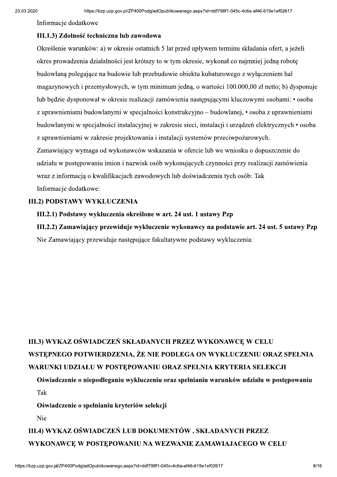Informacje dodatkowe

#### III.1.3) Zdolność techniczna lub zawodowa

aspx?id=ddf798f1-045c-4c6a-af46-619e1ef02617<br>!<br>upływem terminu składania ofert, a jeżeli Określenie warunków: a) w okresie ostatnich 5 lat przed upływem terminu składania ofert, a jeżeli okres prowadzenia działalności jest krótszy to w tym okresie, wykonał co najmniej jedna robote budowlana polegajace na budowie lub przebudowie obiektu kubaturowego z wyłaczeniem hal magazynowych i przemysłowych, w tym minimum jedną, o wartości 100.000,00 zł netto; b) dysponuje lub będzie dysponował w okresie realizacji zamówienia następującymi kluczowymi osobami: • osoba z uprawnieniami budowlanymi w specjalności konstrukcyjno – budowlanej, • osoba z uprawnieniami budowlanymi w specjalności instalacyjnej w zakresie sieci, instalacji i urządzeń elektrycznych • osoba z uprawnieniami w zakresie projektowania i instalacji systemów przeciwpożarowych. Zamawiający wymaga od wykonawców wskazania w ofercie lub we wniosku o dopuszczenie do udziału w postępowaniu imion i nazwisk osób wykonujących czynności przy realizacji zamówienia wraz z informacją o kwalifikacjach zawodowych lub doświadczeniu tych osób: Tak Informacje dodatkowe:

#### 111.2) PODSTAWY WYKLUCZENIA

#### III.2.1) Podstawy wykluczenia określone w art. 24 ust. 1 ustawy Pzp

III.2.2) Zamawiający przewiduje wykluczenie wykonawcy na podstawie art. 24 ust. 5 ustawy Pzp Nie Zamawiający przewiduje następujące fakultatywne podstawy wykluczenia:

# III.3) WYKAZ OŚWIADCZEŃ SKŁADANYCH PRZEZ WYKONAWCE W CELU WSTEPNEGO POTWIERDZENIA, ŻE NIE PODLEGA ON WYKLUCZENIU ORAZ SPEŁNIA WARUNKI UDZIAŁU W POSTEPOWANIU ORAZ SPEŁNIA KRYTERIA SELEKCJI

### Oświadczenie o niepodleganiu wykluczeniu oraz spełnianiu warunków udziału w postępowaniu Tak

#### Oświadczenie o spełnianiu kryteriów selekcji

Nie

LUB DOKUMENTÓW , SKŁADANYCH PRZEZ<br>'ANIU NA WEZWANIE ZAMAWIAJACEGO W CELU<br><sub>aspx?id=ddf798f1-045c-4c6a-af46-619e1ef02617</sub> 8/16 111.4) WYKAZ OŚWIADCZEŃ LUB DOKUMENTÓW, SKŁADANYCH PRZEZ WYKONAWCE W POSTEPOWANIU NA WEZWANIE ZAMAWIAJACEGO W CELU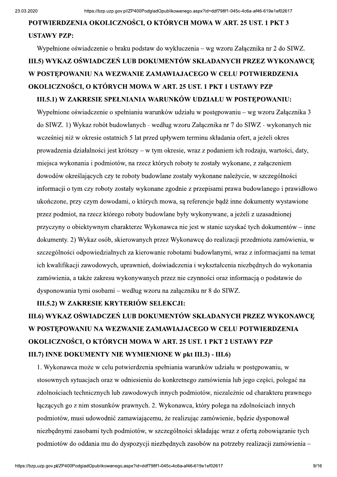# POTWIERDZENIA OKOLICZNOŚCI, O KTÓRYCH MOWA W ART. 25 UST. 1 PKT 3 **USTAWY PZP:**

# Wypełnione oświadczenie o braku podstaw do wykluczenia – wg wzoru Załacznika nr 2 do SIWZ. III.5) WYKAZ OŚWIADCZEŃ LUB DOKUMENTÓW SKŁADANYCH PRZEZ WYKONAWCE W POSTEPOWANIU NA WEZWANIE ZAMAWIAJACEGO W CELU POTWIERDZENIA OKOLICZNOŚCI, O KTÓRYCH MOWA W ART. 25 UST. 1 PKT 1 USTAWY PZP III.5.1) W ZAKRESIE SPEŁNIANIA WARUNKÓW UDZIAŁU W POSTEPOWANIU:

Wypełnione oświadczenie o spełnianiu warunków udziału w postępowaniu – wg wzoru Załącznika 3 do SIWZ. 1) Wykaz robót budowlanych - według wzoru Załącznika nr 7 do SIWZ - wykonanych nie wcześniej niż w okresie ostatnich 5 lat przed upływem terminu składania ofert, a jeżeli okres prowadzenia działalności jest krótszy – w tym okresie, wraz z podaniem ich rodzaju, wartości, daty, miejsca wykonania i podmiotów, na rzecz których roboty te zostały wykonane, z załączeniem dowodów określających czy te roboty budowlane zostały wykonane należycie, w szczególności informacji o tym czy roboty zostały wykonane zgodnie z przepisami prawa budowlanego i prawidłowo ukończone, przy czym dowodami, o których mowa, są referencje bądź inne dokumenty wystawione przez podmiot, na rzecz którego roboty budowlane były wykonywane, a jeżeli z uzasadnionej przyczyny o obiektywnym charakterze Wykonawca nie jest w stanie uzyskać tych dokumentów – inne dokumenty. 2) Wykaz osób, skierowanych przez Wykonawcę do realizacji przedmiotu zamówienia, w szczególności odpowiedzialnych za kierowanie robotami budowlanymi, wraz z informacjami na temat ich kwalifikacji zawodowych, uprawnień, doświadczenia i wykształcenia niezbędnych do wykonania zamówienia, a także zakresu wykonywanych przez nie czynności oraz informacją o podstawie do dysponowania tymi osobami – według wzoru na załączniku nr 8 do SIWZ.

#### III.5.2) W ZAKRESIE KRYTERIÓW SELEKCJI:

# III.6) WYKAZ OŚWIADCZEŃ LUB DOKUMENTÓW SKŁADANYCH PRZEZ WYKONAWCE W POSTEPOWANIU NA WEZWANIE ZAMAWIAJACEGO W CELU POTWIERDZENIA OKOLICZNOŚCI, O KTÓRYCH MOWA W ART. 25 UST. 1 PKT 2 USTAWY PZP III.7) INNE DOKUMENTY NIE WYMIENIONE W pkt III.3) - III.6)

1. Wykonawca może w celu potwierdzenia spełniania warunków udziału w postępowaniu, w stosownych sytuacjach oraz w odniesieniu do konkretnego zamówienia lub jego części, polegać na zdolnościach technicznych lub zawodowych innych podmiotów, niezależnie od charakteru prawnego łączących go z nim stosunków prawnych. 2. Wykonawca, który polega na zdolnościach innych podmiotów, musi udowodnić zamawiającemu, że realizując zamówienie, będzie dysponował niezbędnymi zasobami tych podmiotów, w szczególności składając wraz z ofertą zobowiązanie tych podmiotów do oddania mu do dyspozycji niezbędnych zasobów na potrzeby realizacji zamówienia –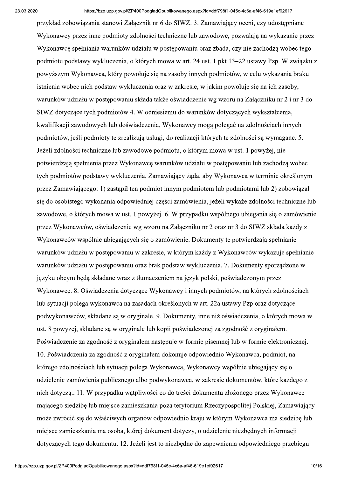przykład zobowiązania stanowi Załącznik nr 6 do SIWZ. 3. Zamawiający oceni, czy udostępniane Wykonawcy przez inne podmioty zdolności techniczne lub zawodowe, pozwalają na wykazanie przez Wykonawce spełniania warunków udziału w postępowaniu oraz zbada, czy nie zachodza wobec tego podmiotu podstawy wykluczenia, o których mowa w art. 24 ust. 1 pkt 13–22 ustawy Pzp. W związku z powyższym Wykonawca, który powołuje się na zasoby innych podmiotów, w celu wykazania braku istnienia wobec nich podstaw wykluczenia oraz w zakresie, w jakim powołuje się na ich zasoby, warunków udziału w postępowaniu składa także oświadczenie wg wzoru na Załączniku nr 2 i nr 3 do SIWZ dotyczące tych podmiotów 4. W odniesieniu do warunków dotyczących wykształcenia, kwalifikacji zawodowych lub doświadczenia, Wykonawcy mogą polegać na zdolnościach innych podmiotów, jeśli podmioty te zrealizują usługi, do realizacji których te zdolności są wymagane. 5. Jeżeli zdolności techniczne lub zawodowe podmiotu, o którym mowa w ust. 1 powyżej, nie potwierdzają spełnienia przez Wykonawcę warunków udziału w postępowaniu lub zachodzą wobec tych podmiotów podstawy wykluczenia, Zamawiający żąda, aby Wykonawca w terminie określonym przez Zamawiającego: 1) zastąpił ten podmiot innym podmiotem lub podmiotami lub 2) zobowiązał się do osobistego wykonania odpowiedniej części zamówienia, jeżeli wykaże zdolności techniczne lub zawodowe, o których mowa w ust. 1 powyżej. 6. W przypadku wspólnego ubiegania się o zamówienie przez Wykonawców, oświadczenie wg wzoru na Załaczniku nr 2 oraz nr 3 do SIWZ składa każdy z Wykonawców wspólnie ubiegających się o zamówienie. Dokumenty te potwierdzają spełnianie warunków udziału w postepowaniu w zakresie, w którym każdy z Wykonawców wykazuje spełnianie warunków udziału w postepowaniu oraz brak podstaw wykluczenia. 7. Dokumenty sporzadzone w języku obcym będą składane wraz z tłumaczeniem na język polski, poświadczonym przez Wykonawcę. 8. Oświadczenia dotyczące Wykonawcy i innych podmiotów, na których zdolnościach lub sytuacji polega wykonawca na zasadach określonych w art. 22a ustawy Pzp oraz dotyczące podwykonawców, składane są w oryginale. 9. Dokumenty, inne niż oświadczenia, o których mowa w ust. 8 powyżej, składane są w oryginale lub kopii poświadczonej za zgodność z oryginałem. Poświadczenie za zgodność z oryginałem następuje w formie pisemnej lub w formie elektronicznej. 10. Poświadczenia za zgodność z oryginałem dokonuje odpowiednio Wykonawca, podmiot, na którego zdolnościach lub sytuacji polega Wykonawca, Wykonawcy wspólnie ubiegający się o udzielenie zamówienia publicznego albo podwykonawca, w zakresie dokumentów, które każdego z nich dotyczą... 11. W przypadku wątpliwości co do treści dokumentu złożonego przez Wykonawcę mającego siedzibę lub miejsce zamieszkania poza terytorium Rzeczypospolitej Polskiej, Zamawiający może zwrócić się do właściwych organów odpowiednio kraju w którym Wykonawca ma siedzibę lub miejsce zamieszkania ma osoba, której dokument dotyczy, o udzielenie niezbednych informacji dotyczących tego dokumentu. 12. Jeżeli jest to niezbędne do zapewnienia odpowiedniego przebiegu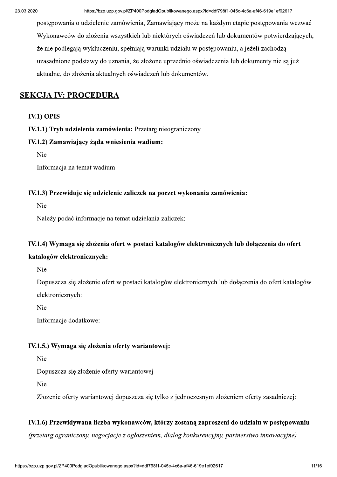postępowania o udzielenie zamówienia, Zamawiający może na każdym etapie postępowania wezwać Wykonawców do złożenia wszystkich lub niektórych oświadczeń lub dokumentów potwierdzających, że nie podlegają wykluczeniu, spełniają warunki udziału w postępowaniu, a jeżeli zachodzą uzasadnione podstawy do uznania, że złożone uprzednio oświadczenia lub dokumenty nie są już aktualne, do złożenia aktualnych oświadczeń lub dokumentów.

#### **SEKCJA IV: PROCEDURA**

#### **IV.1) OPIS**

IV.1.1) Tryb udzielenia zamówienia: Przetarg nieograniczony

#### IV.1.2) Zamawiający żąda wniesienia wadium:

Nie

Informacia na temat wadium

#### IV.1.3) Przewiduje się udzielenie zaliczek na poczet wykonania zamówienia:

Nie

Należy podać informacje na temat udzielania zaliczek:

#### IV.1.4) Wymaga się złożenia ofert w postaci katalogów elektronicznych lub dołączenia do ofert

#### katalogów elektronicznych:

Nie

Dopuszcza się złożenie ofert w postaci katalogów elektronicznych lub dołączenia do ofert katalogów elektronicznych:

Nie

Informacje dodatkowe:

#### IV.1.5.) Wymaga się złożenia oferty wariantowej:

Nie

Dopuszcza się złożenie oferty wariantowej

Nie

Złożenie oferty wariantowej dopuszcza się tylko z jednoczesnym złożeniem oferty zasadniczej:

#### IV.1.6) Przewidywana liczba wykonawców, którzy zostaną zaproszeni do udziału w postępowaniu

(przetarg ograniczony, negocjacje z ogłoszeniem, dialog konkurencyjny, partnerstwo innowacyjne)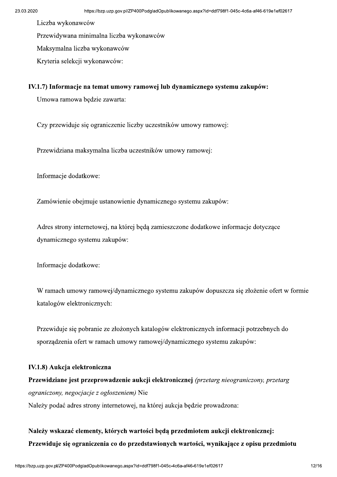Liczba wykonawców

Przewidywana minimalna liczba wykonawców

Maksymalna liczba wykonawców

Kryteria selekcji wykonawców:

#### IV.1.7) Informacje na temat umowy ramowej lub dynamicznego systemu zakupów:

Umowa ramowa będzie zawarta:

Czy przewiduje się ograniczenie liczby uczestników umowy ramowej:

Przewidziana maksymalna liczba uczestników umowy ramowej:

Informacje dodatkowe:

Zamówienie obejmuje ustanowienie dynamicznego systemu zakupów:

Adres strony internetowei, na której beda zamieszczone dodatkowe informacje dotyczące dynamicznego systemu zakupów:

Informacje dodatkowe:

W ramach umowy ramowej/dynamicznego systemu zakupów dopuszcza się złożenie ofert w formie katalogów elektronicznych:

Przewiduje się pobranie ze złożonych katalogów elektronicznych informacji potrzebnych do sporządzenia ofert w ramach umowy ramowej/dynamicznego systemu zakupów:

#### IV.1.8) Aukcja elektroniczna

Przewidziane jest przeprowadzenie aukcji elektronicznej (przetarg nieograniczony, przetarg ograniczony, negocjacje z ogłoszeniem) Nie Należy podać adres strony internetowej, na której aukcja będzie prowadzona:

## Należy wskazać elementy, których wartości będą przedmiotem aukcji elektronicznej: Przewiduje się ograniczenia co do przedstawionych wartości, wynikające z opisu przedmiotu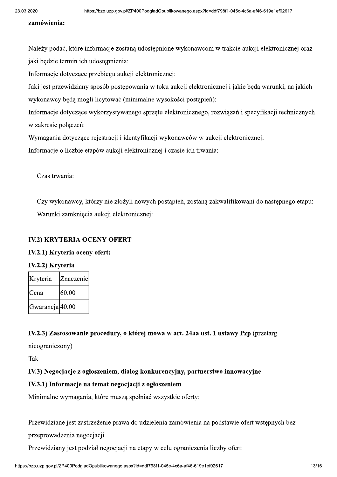#### zamówienia:

aspx?id=ddf798f1-045c-4c6a-af46-619e1ef02617<br>!<br>!<br>awcom w trakcie aukcji elektronicznej oraz Należy podać, które informacje zostana udostepnione wykonawcom w trakcie aukcji elektronicznej oraz jaki będzie termin ich udostępnienia:

Informacje dotyczące przebiegu aukcji elektronicznej:

Jaki jest przewidziany sposób postępowania w toku aukcji elektronicznej i jakie będą warunki, na jakich wykonawcy będą mogli licytować (minimalne wysokości postąpień):

Informacje dotyczące wykorzystywanego sprzętu elektronicznego, rozwiązań i specyfikacji technicznych w zakresie połączeń:

Wymagania dotyczące rejestracji i identyfikacji wykonawców w aukcji elektronicznej:

Informacje o liczbie etapów aukcji elektronicznej i czasie ich trwania:

Czas trwania:

Czy wykonawcy, którzy nie złożyli nowych postąpień, zostaną zakwalifikowani do następnego etapu: Warunki zamkniecia aukcji elektronicznej:

#### IV.2) KRYTERIA OCENY OFERT

#### IV.2.1) Kryteria oceny ofert:

#### IV.2.2) Kryteria

| Kryteria                    | Znaczenie |
|-----------------------------|-----------|
| <b>C</b> ena                | 60,00     |
| Gwarancja <sup>[40,00</sup> |           |

#### IV.2.3) Zastosowanie procedury, o której mowa w art. 24aa ust. 1 ustawy Pzp (przetarg

nieograniczony)

Tak

IV.3) Negocjacje z ogłoszeniem, dialog konkurencyjny, partnerstwo innowacyjne

#### IV.3.1) Informacje na temat negocjacji z ogłoszeniem

Minimalne wymagania, które muszą spełniać wszystkie oferty:

Przewidziane jest zastrzeżenie prawa do udzielenia zamówienia na podstawie ofert wstępnych bez

przeprowadzenia negocjacji

% a do udzietema zamowiema na podstawie otert wstępnych oez<br>
ji na etapy w celu ograniczenia liczby ofert:<br>
aspx?id=ddf798f1-045c-4c6a-af46-619e1ef02617 13/16 Przewidziany jest podział negocjacji na etapy w celu ograniczenia liczby ofert: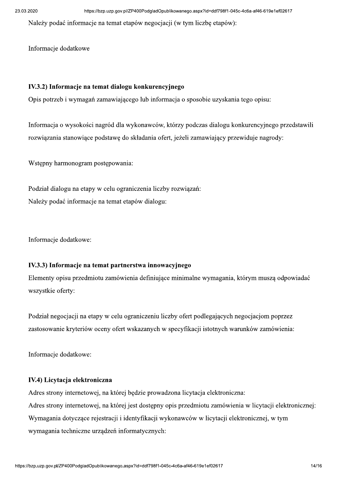Należy podać informacje na temat etapów negocjacji (w tym liczbę etapów):

Informacje dodatkowe

#### IV.3.2) Informacje na temat dialogu konkurencyjnego

Opis potrzeb i wymagań zamawiającego lub informacja o sposobie uzyskania tego opisu:

Informacja o wysokości nagród dla wykonawców, którzy podczas dialogu konkurencyjnego przedstawili rozwiązania stanowiące podstawę do składania ofert, jeżeli zamawiający przewiduje nagrody:

Wstępny harmonogram postępowania:

Podział dialogu na etapy w celu ograniczenia liczby rozwiązań: Należy podać informacje na temat etapów dialogu:

Informacje dodatkowe:

#### IV.3.3) Informacje na temat partnerstwa innowacyjnego

Elementy opisu przedmiotu zamówienia definiujące minimalne wymagania, którym muszą odpowiadać wszystkie oferty:

Podział negocjacji na etapy w celu ograniczeniu liczby ofert podlegających negocjacjom poprzez zastosowanie kryteriów oceny ofert wskazanych w specyfikacji istotnych warunków zamówienia:

Informacje dodatkowe:

#### IV.4) Licytacja elektroniczna

Adres strony internetowej, na której będzie prowadzona licytacja elektroniczna: Adres strony internetowej, na której jest dostępny opis przedmiotu zamówienia w licytacji elektronicznej: Wymagania dotyczące rejestracji i identyfikacji wykonawców w licytacji elektronicznej, w tym wymagania techniczne urządzeń informatycznych: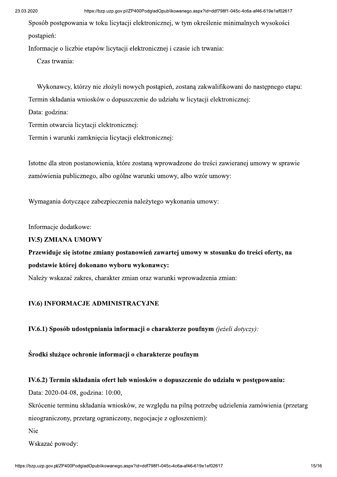Sposób postępowania w toku licytacji elektronicznej, w tym określenie minimalnych wysokości postapień:

Informacje o liczbie etapów licytacji elektronicznej i czasie ich trwania:

Czas trwania:

Wykonawcy, którzy nie złożyli nowych postąpień, zostaną zakwalifikowani do następnego etapu: Termin składania wniosków o dopuszczenie do udziału w licytacji elektronicznej:

Data: godzina:

Termin otwarcia licytacji elektronicznej:

Termin i warunki zamknięcia licytacji elektronicznej:

Istotne dla stron postanowienia, które zostaną wprowadzone do treści zawieranej umowy w sprawie zamówienia publicznego, albo ogólne warunki umowy, albo wzór umowy:

Wymagania dotyczące zabezpieczenia należytego wykonania umowy:

Informacie dodatkowe:

#### **IV.5) ZMIANA UMOWY**

## Przewiduje się istotne zmiany postanowień zawartej umowy w stosunku do treści oferty, na podstawie której dokonano wyboru wykonawcy:

Należy wskazać zakres, charakter zmian oraz warunki wprowadzenia zmian:

#### **IV.6) INFORMACJE ADMINISTRACYJNE**

IV.6.1) Sposób udostępniania informacji o charakterze poufnym (jeżeli dotyczy):

Środki służące ochronie informacji o charakterze poufnym

#### IV.6.2) Termin składania ofert lub wniosków o dopuszczenie do udziału w postępowaniu:

Data: 2020-04-08, godzina: 10:00,

Skrócenie terminu składania wniosków, ze względu na pilną potrzebę udzielenia zamówienia (przetarg nieograniczony, przetarg ograniczony, negocjącie z ogłoszeniem):

Nie

Wskazać powody: